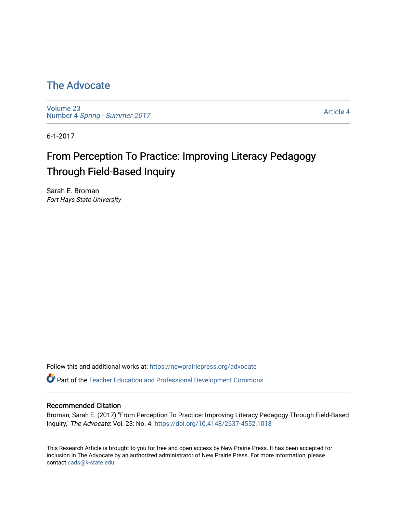## [The Advocate](https://newprairiepress.org/advocate)

[Volume 23](https://newprairiepress.org/advocate/vol23) Number 4 [Spring - Summer 2017](https://newprairiepress.org/advocate/vol23/iss4) 

[Article 4](https://newprairiepress.org/advocate/vol23/iss4/4) 

6-1-2017

# From Perception To Practice: Improving Literacy Pedagogy Through Field-Based Inquiry

Sarah E. Broman Fort Hays State University

Follow this and additional works at: [https://newprairiepress.org/advocate](https://newprairiepress.org/advocate?utm_source=newprairiepress.org%2Fadvocate%2Fvol23%2Fiss4%2F4&utm_medium=PDF&utm_campaign=PDFCoverPages) 

Part of the [Teacher Education and Professional Development Commons](http://network.bepress.com/hgg/discipline/803?utm_source=newprairiepress.org%2Fadvocate%2Fvol23%2Fiss4%2F4&utm_medium=PDF&utm_campaign=PDFCoverPages) 

#### Recommended Citation

Broman, Sarah E. (2017) "From Perception To Practice: Improving Literacy Pedagogy Through Field-Based Inquiry," The Advocate: Vol. 23: No. 4. <https://doi.org/10.4148/2637-4552.1018>

This Research Article is brought to you for free and open access by New Prairie Press. It has been accepted for inclusion in The Advocate by an authorized administrator of New Prairie Press. For more information, please contact [cads@k-state.edu](mailto:cads@k-state.edu).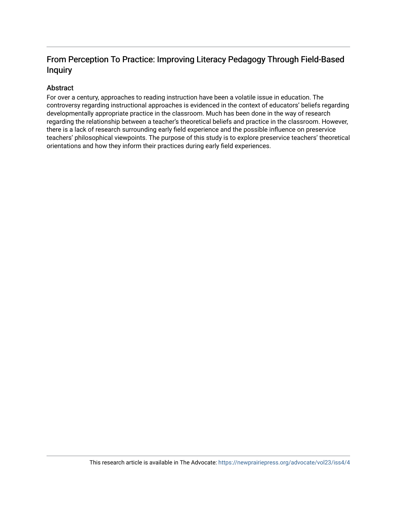## From Perception To Practice: Improving Literacy Pedagogy Through Field-Based Inquiry

## Abstract

For over a century, approaches to reading instruction have been a volatile issue in education. The controversy regarding instructional approaches is evidenced in the context of educators' beliefs regarding developmentally appropriate practice in the classroom. Much has been done in the way of research regarding the relationship between a teacher's theoretical beliefs and practice in the classroom. However, there is a lack of research surrounding early field experience and the possible influence on preservice teachers' philosophical viewpoints. The purpose of this study is to explore preservice teachers' theoretical orientations and how they inform their practices during early field experiences.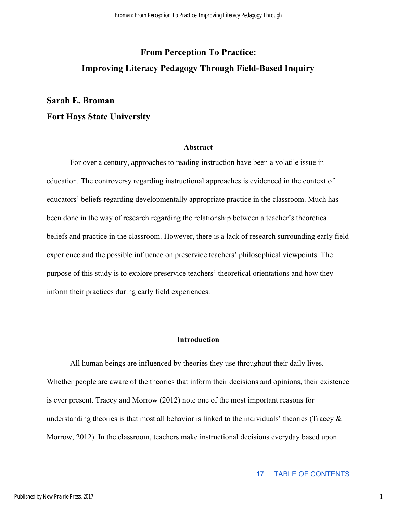## **From Perception To Practice: Improving Literacy Pedagogy Through Field-Based Inquiry**

## **Sarah E. Broman Fort Hays State University**

#### **Abstract**

For over a century, approaches to reading instruction have been a volatile issue in education. The controversy regarding instructional approaches is evidenced in the context of educators' beliefs regarding developmentally appropriate practice in the classroom. Much has been done in the way of research regarding the relationship between a teacher's theoretical beliefs and practice in the classroom. However, there is a lack of research surrounding early field experience and the possible influence on preservice teachers' philosophical viewpoints. The purpose of this study is to explore preservice teachers' theoretical orientations and how they inform their practices during early field experiences.

### **Introduction**

All human beings are influenced by theories they use throughout their daily lives. Whether people are aware of the theories that inform their decisions and opinions, their existence is ever present. Tracey and Morrow (2012) note one of the most important reasons for understanding theories is that most all behavior is linked to the individuals' theories (Tracey  $\&$ Morrow, 2012). In the classroom, teachers make instructional decisions everyday based upon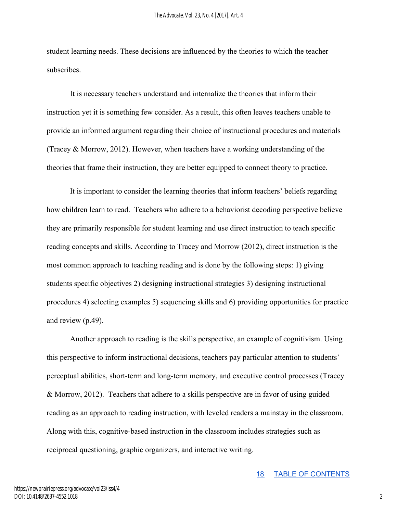student learning needs. These decisions are influenced by the theories to which the teacher subscribes.

It is necessary teachers understand and internalize the theories that inform their instruction yet it is something few consider. As a result, this often leaves teachers unable to provide an informed argument regarding their choice of instructional procedures and materials (Tracey & Morrow, 2012). However, when teachers have a working understanding of the theories that frame their instruction, they are better equipped to connect theory to practice.

It is important to consider the learning theories that inform teachers' beliefs regarding how children learn to read. Teachers who adhere to a behaviorist decoding perspective believe they are primarily responsible for student learning and use direct instruction to teach specific reading concepts and skills. According to Tracey and Morrow (2012), direct instruction is the most common approach to teaching reading and is done by the following steps: 1) giving students specific objectives 2) designing instructional strategies 3) designing instructional procedures 4) selecting examples 5) sequencing skills and 6) providing opportunities for practice and review (p.49).

Another approach to reading is the skills perspective, an example of cognitivism. Using this perspective to inform instructional decisions, teachers pay particular attention to students' perceptual abilities, short-term and long-term memory, and executive control processes (Tracey & Morrow, 2012). Teachers that adhere to a skills perspective are in favor of using guided reading as an approach to reading instruction, with leveled readers a mainstay in the classroom. Along with this, cognitive-based instruction in the classroom includes strategies such as reciprocal questioning, graphic organizers, and interactive writing.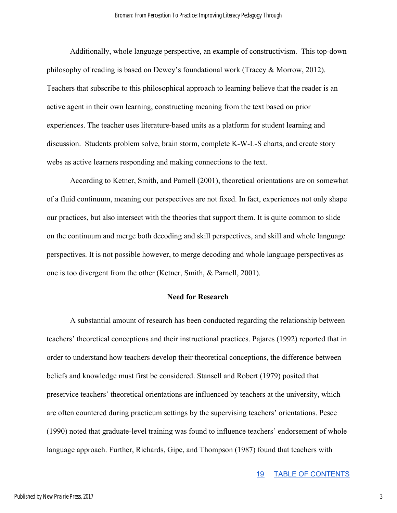Additionally, whole language perspective, an example of constructivism. This top-down philosophy of reading is based on Dewey's foundational work (Tracey & Morrow, 2012). Teachers that subscribe to this philosophical approach to learning believe that the reader is an active agent in their own learning, constructing meaning from the text based on prior experiences. The teacher uses literature-based units as a platform for student learning and discussion. Students problem solve, brain storm, complete K-W-L-S charts, and create story webs as active learners responding and making connections to the text.

According to Ketner, Smith, and Parnell (2001), theoretical orientations are on somewhat of a fluid continuum, meaning our perspectives are not fixed. In fact, experiences not only shape our practices, but also intersect with the theories that support them. It is quite common to slide on the continuum and merge both decoding and skill perspectives, and skill and whole language perspectives. It is not possible however, to merge decoding and whole language perspectives as one is too divergent from the other (Ketner, Smith, & Parnell, 2001).

#### **Need for Research**

A substantial amount of research has been conducted regarding the relationship between teachers' theoretical conceptions and their instructional practices. Pajares (1992) reported that in order to understand how teachers develop their theoretical conceptions, the difference between beliefs and knowledge must first be considered. Stansell and Robert (1979) posited that preservice teachers' theoretical orientations are influenced by teachers at the university, which are often countered during practicum settings by the supervising teachers' orientations. Pesce (1990) noted that graduate-level training was found to influence teachers' endorsement of whole language approach. Further, Richards, Gipe, and Thompson (1987) found that teachers with

19 TABLE OF CONTENTS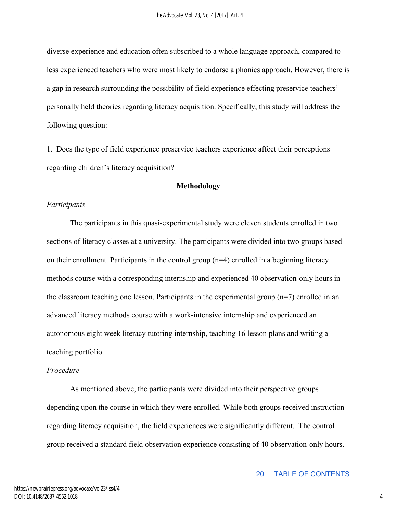diverse experience and education often subscribed to a whole language approach, compared to less experienced teachers who were most likely to endorse a phonics approach. However, there is a gap in research surrounding the possibility of field experience effecting preservice teachers' personally held theories regarding literacy acquisition. Specifically, this study will address the following question:

1. Does the type of field experience preservice teachers experience affect their perceptions regarding children's literacy acquisition?

### **Methodology**

### *Participants*

The participants in this quasi-experimental study were eleven students enrolled in two sections of literacy classes at a university. The participants were divided into two groups based on their enrollment. Participants in the control group (n=4) enrolled in a beginning literacy methods course with a corresponding internship and experienced 40 observation-only hours in the classroom teaching one lesson. Participants in the experimental group  $(n=7)$  enrolled in an advanced literacy methods course with a work-intensive internship and experienced an autonomous eight week literacy tutoring internship, teaching 16 lesson plans and writing a teaching portfolio.

## *Procedure*

As mentioned above, the participants were divided into their perspective groups depending upon the course in which they were enrolled. While both groups received instruction regarding literacy acquisition, the field experiences were significantly different. The control group received a standard field observation experience consisting of 40 observation-only hours.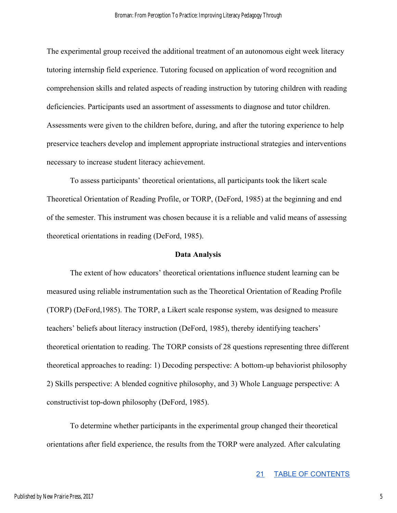The experimental group received the additional treatment of an autonomous eight week literacy tutoring internship field experience. Tutoring focused on application of word recognition and comprehension skills and related aspects of reading instruction by tutoring children with reading deficiencies. Participants used an assortment of assessments to diagnose and tutor children. Assessments were given to the children before, during, and after the tutoring experience to help preservice teachers develop and implement appropriate instructional strategies and interventions necessary to increase student literacy achievement.

To assess participants' theoretical orientations, all participants took the likert scale Theoretical Orientation of Reading Profile, or TORP, (DeFord, 1985) at the beginning and end of the semester. This instrument was chosen because it is a reliable and valid means of assessing theoretical orientations in reading (DeFord, 1985).

#### **Data Analysis**

The extent of how educators' theoretical orientations influence student learning can be measured using reliable instrumentation such as the Theoretical Orientation of Reading Profile (TORP) (DeFord,1985). The TORP, a Likert scale response system, was designed to measure teachers' beliefs about literacy instruction (DeFord, 1985), thereby identifying teachers' theoretical orientation to reading. The TORP consists of 28 questions representing three different theoretical approaches to reading: 1) Decoding perspective: A bottom-up behaviorist philosophy 2) Skills perspective: A blended cognitive philosophy, and 3) Whole Language perspective: A constructivist top-down philosophy (DeFord, 1985).

To determine whether participants in the experimental group changed their theoretical orientations after field experience, the results from the TORP were analyzed. After calculating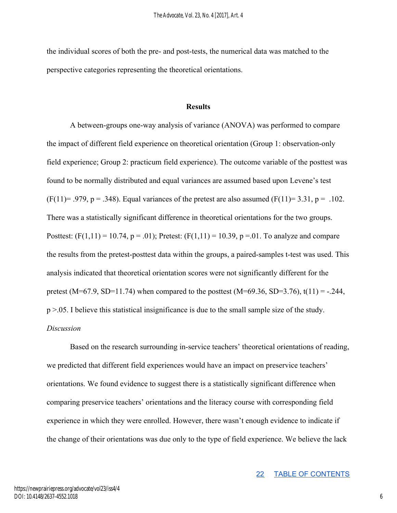the individual scores of both the pre- and post-tests, the numerical data was matched to the perspective categories representing the theoretical orientations.

### **Results**

A between-groups one-way analysis of variance (ANOVA) was performed to compare the impact of different field experience on theoretical orientation (Group 1: observation-only field experience; Group 2: practicum field experience). The outcome variable of the posttest was found to be normally distributed and equal variances are assumed based upon Levene's test (F(11)= .979, p = .348). Equal variances of the pretest are also assumed (F(11)= 3.31, p = .102. There was a statistically significant difference in theoretical orientations for the two groups. Posttest:  $(F(1,11) = 10.74, p = .01)$ ; Pretest:  $(F(1,11) = 10.39, p = .01$ . To analyze and compare the results from the pretest-posttest data within the groups, a paired-samples t-test was used. This analysis indicated that theoretical orientation scores were not significantly different for the pretest (M=67.9, SD=11.74) when compared to the posttest (M=69.36, SD=3.76), t(11) = -.244, p >.05. I believe this statistical insignificance is due to the small sample size of the study. *Discussion* 

Based on the research surrounding in-service teachers' theoretical orientations of reading, we predicted that different field experiences would have an impact on preservice teachers' orientations. We found evidence to suggest there is a statistically significant difference when comparing preservice teachers' orientations and the literacy course with corresponding field experience in which they were enrolled. However, there wasn't enough evidence to indicate if the change of their orientations was due only to the type of field experience. We believe the lack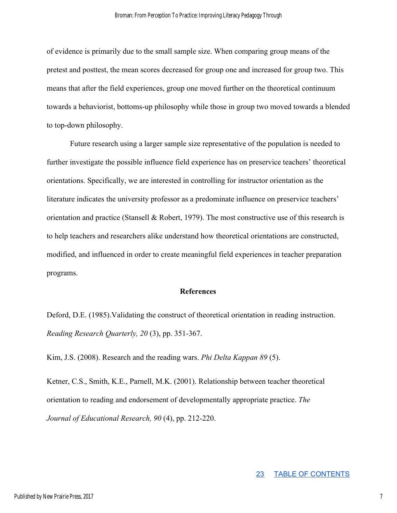of evidence is primarily due to the small sample size. When comparing group means of the pretest and posttest, the mean scores decreased for group one and increased for group two. This means that after the field experiences, group one moved further on the theoretical continuum towards a behaviorist, bottoms-up philosophy while those in group two moved towards a blended to top-down philosophy.

Future research using a larger sample size representative of the population is needed to further investigate the possible influence field experience has on preservice teachers' theoretical orientations. Specifically, we are interested in controlling for instructor orientation as the literature indicates the university professor as a predominate influence on preservice teachers' orientation and practice (Stansell  $\&$  Robert, 1979). The most constructive use of this research is to help teachers and researchers alike understand how theoretical orientations are constructed, modified, and influenced in order to create meaningful field experiences in teacher preparation programs.

#### **References**

Deford, D.E. (1985).Validating the construct of theoretical orientation in reading instruction. *Reading Research Quarterly, 20* (3), pp. 351-367.

Kim, J.S. (2008). Research and the reading wars. *Phi Delta Kappan 89* (5).

Ketner, C.S., Smith, K.E., Parnell, M.K. (2001). Relationship between teacher theoretical orientation to reading and endorsement of developmentally appropriate practice. *The Journal of Educational Research, 90* (4), pp. 212-220.